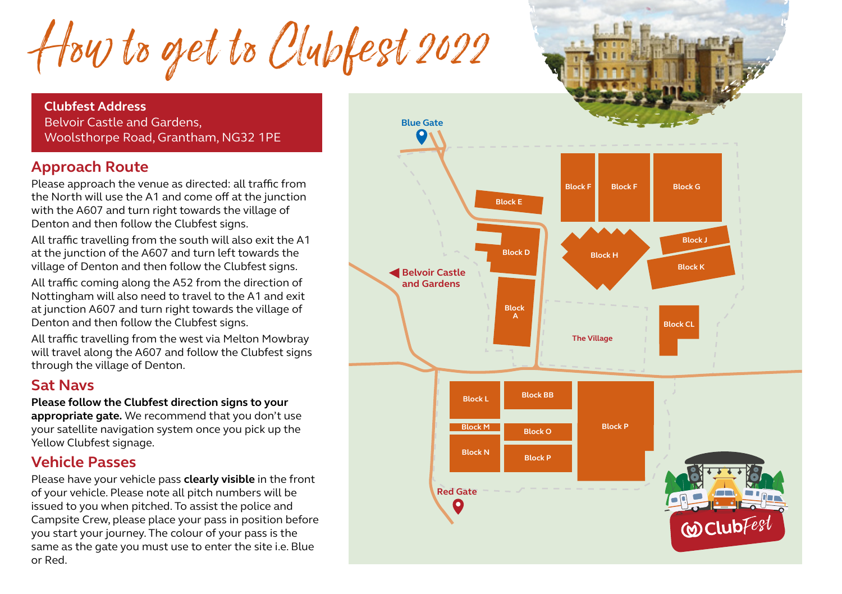How to get to Clubfest 2022

**Clubfest Address** Belvoir Castle and Gardens, Woolsthorpe Road, Grantham, NG32 1PE

## **Approach Route**

Please approach the venue as directed: all traffic from the North will use the A1 and come off at the junction with the A607 and turn right towards the village of Denton and then follow the Clubfest signs.

All traffic travelling from the south will also exit the A1 at the junction of the A607 and turn left towards the village of Denton and then follow the Clubfest signs.

All traffic coming along the A52 from the direction of Nottingham will also need to travel to the A1 and exit at junction A607 and turn right towards the village of Denton and then follow the Clubfest signs.

**Green Gate** All traffic travelling from the west via Melton Mowbray will travel along the A607 and follow the Clubfest signs through the village of Denton.

## **Sat Navs**

## **Please follow the Clubfest direction signs to your**

**appropriate gate.** We recommend that you don't use your satellite navigation system once you pick up the Yellow Clubfest signage.

## **Vehicle Passes**

Please have your vehicle pass **clearly visible** in the front of your vehicle. Please note all pitch numbers will be issued to you when pitched. To assist the police and Campsite Crew, please place your pass in position before you start your journey. The colour of your pass is the same as the gate you must use to enter the site i.e. Blue or Red.